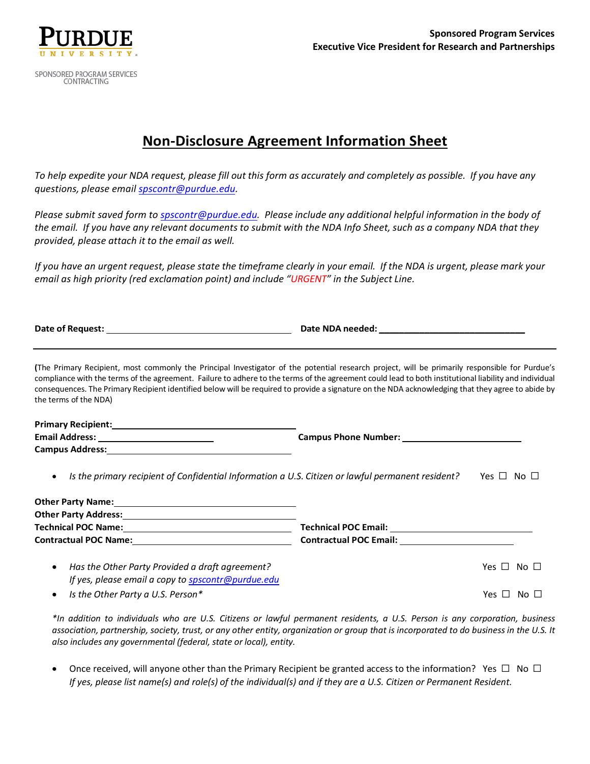

CONTRACTING

## **Non-Disclosure Agreement Information Sheet**

*To help expedite your NDA request, please fill out this form as accurately and completely as possible. If you have any questions, please emai[l spscontr@purdue.edu.](mailto:spscontr@purdue.edu)*

*Please submit saved form to spscontr@purdue.edu. Please include any additional helpful information in the body of the email. If you have any relevant documents to submit with the NDA Info Sheet, such as a company NDA that they provided, please attach it to the email as well.* 

*If you have an urgent request, please state the timeframe clearly in your email. If the NDA is urgent, please mark your email as high priority (red exclamation point) and include "URGENT" in the Subject Line.* 

Date of Request: **Date NDA needed: Date NDA needed:** 

**(**The Primary Recipient, most commonly the Principal Investigator of the potential research project, will be primarily responsible for Purdue's compliance with the terms of the agreement. Failure to adhere to the terms of the agreement could lead to both institutional liability and individual consequences. The Primary Recipient identified below will be required to provide a signature on the NDA acknowledging that they agree to abide by the terms of the NDA)

| <b>Primary Recipient:</b> |                             |
|---------------------------|-----------------------------|
| <b>Email Address:</b>     | <b>Campus Phone Number:</b> |
| <b>Campus Address:</b>    |                             |

*Is the primary recipient of Confidential Information a U.S. Citizen or lawful permanent resident?* Yes □ No □

| <b>Other Party Name:</b>     |                               |
|------------------------------|-------------------------------|
| <b>Other Party Address:</b>  |                               |
| <b>Technical POC Name:</b>   | <b>Technical POC Email:</b>   |
| <b>Contractual POC Name:</b> | <b>Contractual POC Email:</b> |

| Has the Other Party Provided a draft agreement?    | Yes $\Box$ No $\Box$ |                 |
|----------------------------------------------------|----------------------|-----------------|
| If yes, please email a copy to spscontr@purdue.edu |                      |                 |
| • Is the Other Party a U.S. Person*                | Yes $\square$        | No <sub>1</sub> |

*\*In addition to individuals who are U.S. Citizens or lawful permanent residents, a U.S. Person is any corporation, business association, partnership, society, trust, or any other entity, organization or group that is incorporated to do business in the U.S. It also includes any governmental (federal, state or local), entity.*

Once received, will anyone other than the Primary Recipient be granted access to the information? Yes  $\Box$  No  $\Box$ *If yes, please list name(s) and role(s) of the individual(s) and if they are a U.S. Citizen or Permanent Resident.*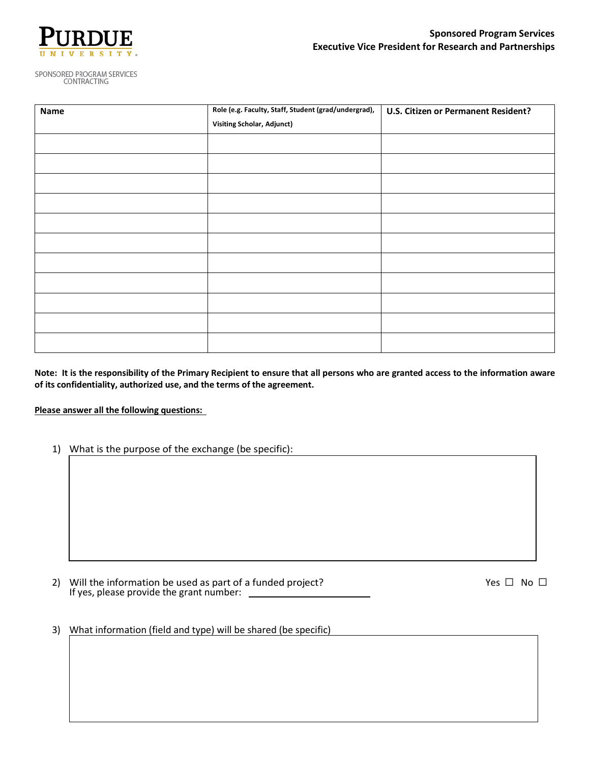

SPONSORED PROGRAM SERVICES CONTRACTING

| Name | Role (e.g. Faculty, Staff, Student (grad/undergrad), | U.S. Citizen or Permanent Resident? |
|------|------------------------------------------------------|-------------------------------------|
|      | <b>Visiting Scholar, Adjunct)</b>                    |                                     |
|      |                                                      |                                     |
|      |                                                      |                                     |
|      |                                                      |                                     |
|      |                                                      |                                     |
|      |                                                      |                                     |
|      |                                                      |                                     |
|      |                                                      |                                     |
|      |                                                      |                                     |
|      |                                                      |                                     |
|      |                                                      |                                     |
|      |                                                      |                                     |

**Note: It is the responsibility of the Primary Recipient to ensure that all persons who are granted access to the information aware of its confidentiality, authorized use, and the terms of the agreement.**

## **Please answer all the following questions:**

1) What is the purpose of the exchange (be specific):

2) Will the information be used as part of a funded project? Yes  $\Box$  No  $\Box$  No  $\Box$ If yes, please provide the grant number:

3) What information (field and type) will be shared (be specific)